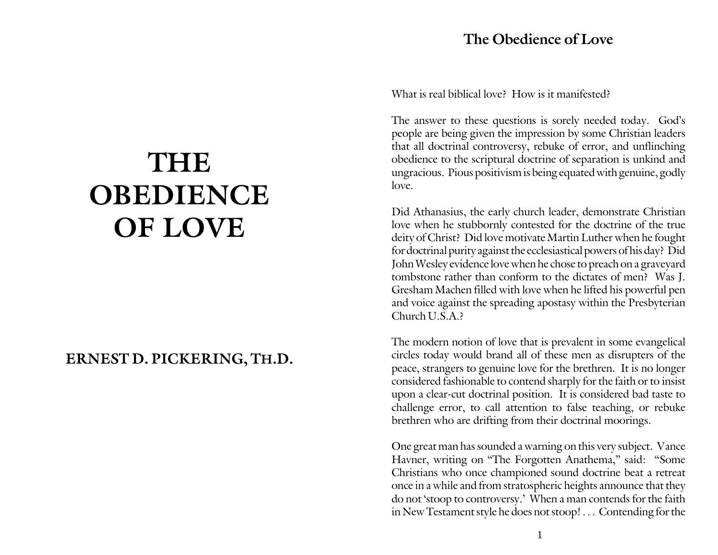## **The Obedience of Love**

# **THE OBEDIENCE OF LOVE**

# **ERNEST D. PICKERING, TH.D.**

What is real biblical love? How is it manifested?

The answer to these questions is sorely needed today. God's people are being given the impression by some Christian leaders that all doctrinal controversy, rebuke of error, and unflinching obedience to the scriptural doctrine of separation is unkind and ungracious. Pious positivism is being equated with genuine, godly love.

Did Athanasius, the early church leader, demonstrate Christian love when he stubbornly contested for the doctrine of the true deity of Christ? Did love motivate Martin Luther when he fought for doctrinal purity against the ecclesiastical powers of his day? Did John Wesley evidence love when he chose to preach on a graveyard tombstone rather than conform to the dictates of men? Was J. Gresham Machen filled with love when he lifted his powerful pen and voice against the spreading apostasy within the Presbyterian Church U.S.A.?

The modern notion of love that is prevalent in some evangelical circles today would brand all of these men as disrupters of the peace, strangers to genuine love for the brethren. It is no longer considered fashionable to contend sharply for the faith or to insist upon a clear-cut doctrinal position. It is considered bad taste to challenge error, to call attention to false teaching, or rebuke brethren who are drifting from their doctrinal moorings.

One great man has sounded a warning on this very subject. Vance Havner, writing on "The Forgotten Anathema," said: "Some Christians who once championed sound doctrine beat a retreat once in a while and from stratospheric heights announce that they do not 'stoop to controversy.' When a man contends for the faith in New Testament style he does not stoop! . . . Contending for the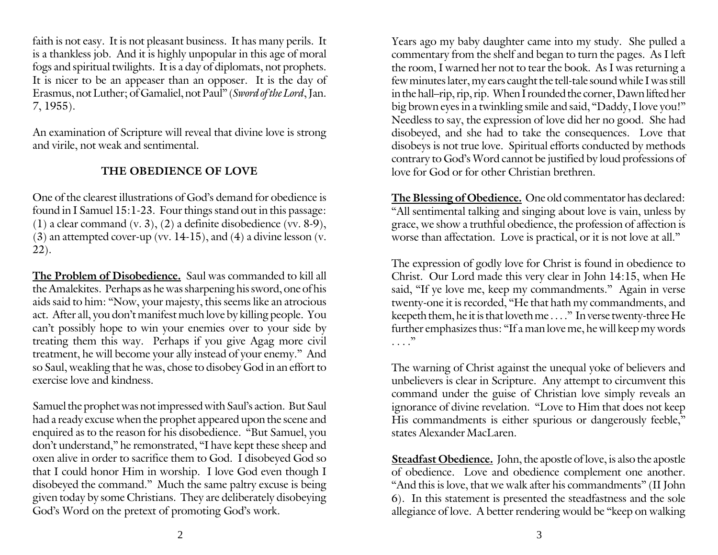faith is not easy. It is not pleasant business. It has many perils. It is a thankless job. And it is highly unpopular in this age of moral fogs and spiritual twilights. It is a day of diplomats, not prophets. It is nicer to be an appeaser than an opposer. It is the day of Erasmus, not Luther; of Gamaliel, not Paul" (*Sword of the Lord*, Jan. 7, 1955).

An examination of Scripture will reveal that divine love is strong and virile, not weak and sentimental.

### **THE OBEDIENCE OF LOVE**

One of the clearest illustrations of God's demand for obedience is found in I Samuel 15:1-23. Four things stand out in this passage: (1) a clear command  $(v, 3)$ ,  $(2)$  a definite disobedience  $(vv, 8-9)$ ,  $(3)$  an attempted cover-up (vv. 14-15), and  $(4)$  a divine lesson (v. 22).

**The Problem of Disobedience.** Saul was commanded to kill all the Amalekites. Perhaps as he was sharpening his sword, one of his aids said to him: "Now, your majesty, this seems like an atrocious act. After all, you don't manifest much love by killing people. You can't possibly hope to win your enemies over to your side by treating them this way. Perhaps if you give Agag more civil treatment, he will become your ally instead of your enemy." And so Saul, weakling that he was, chose to disobey God in an effort to exercise love and kindness.

Samuel the prophet was not impressed with Saul's action. But Saul had a ready excuse when the prophet appeared upon the scene and enquired as to the reason for his disobedience. "But Samuel, you don't understand," he remonstrated, "I have kept these sheep and oxen alive in order to sacrifice them to God. I disobeyed God so that I could honor Him in worship. I love God even though I disobeyed the command." Much the same paltry excuse is being given today by some Christians. They are deliberately disobeying God's Word on the pretext of promoting God's work.

Years ago my baby daughter came into my study. She pulled a commentary from the shelf and began to turn the pages. As I left the room, I warned her not to tear the book. As I was returning a few minutes later, my ears caught the tell-tale sound while I was still in the hall–rip, rip, rip. When I rounded the corner, Dawn lifted her big brown eyes in a twinkling smile and said, "Daddy, I love you!" Needless to say, the expression of love did her no good. She had disobeyed, and she had to take the consequences. Love that disobeys is not true love. Spiritual efforts conducted by methods contrary to God's Word cannot be justified by loud professions of love for God or for other Christian brethren.

**The Blessing of Obedience.** One old commentator has declared: "All sentimental talking and singing about love is vain, unless by grace, we show a truthful obedience, the profession of affection is worse than affectation. Love is practical, or it is not love at all."

The expression of godly love for Christ is found in obedience to Christ. Our Lord made this very clear in John 14:15, when He said, "If ye love me, keep my commandments." Again in verse twenty-one it is recorded, "He that hath my commandments, and keepeth them, he it is that loveth me . . . ." In verse twenty-three He further emphasizes thus: "If a man love me, he will keep my words . . . ."

The warning of Christ against the unequal yoke of believers and unbelievers is clear in Scripture. Any attempt to circumvent this command under the guise of Christian love simply reveals an ignorance of divine revelation. "Love to Him that does not keep His commandments is either spurious or dangerously feeble," states Alexander MacLaren.

**Steadfast Obedience.** John, the apostle of love, is also the apostle of obedience. Love and obedience complement one another. "And this is love, that we walk after his commandments" (II John 6). In this statement is presented the steadfastness and the sole allegiance of love. A better rendering would be "keep on walking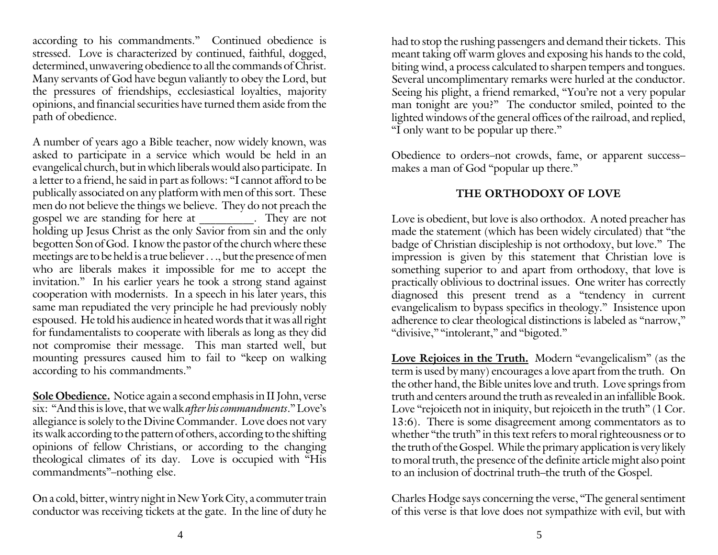according to his commandments." Continued obedience is stressed. Love is characterized by continued, faithful, dogged, determined, unwavering obedience to all the commands of Christ. Many servants of God have begun valiantly to obey the Lord, but the pressures of friendships, ecclesiastical loyalties, majority opinions, and financial securities have turned them aside from the path of obedience.

A number of years ago a Bible teacher, now widely known, was asked to participate in a service which would be held in an evangelical church, but in which liberals would also participate. In a letter to a friend, he said in part as follows: "I cannot afford to be publically associated on any platform with men of this sort. These men do not believe the things we believe. They do not preach the gospel we are standing for here at \_\_\_\_\_\_\_\_\_\_. They are not holding up Jesus Christ as the only Savior from sin and the only begotten Son of God. I know the pastor of the church where these meetings are to be held is a true believer . . ., but the presence of men who are liberals makes it impossible for me to accept the invitation." In his earlier years he took a strong stand against cooperation with modernists. In a speech in his later years, this same man repudiated the very principle he had previously nobly espoused. He told his audience in heated words that it was all right for fundamentalists to cooperate with liberals as long as they did not compromise their message. This man started well, but mounting pressures caused him to fail to "keep on walking according to his commandments."

**Sole Obedience.** Notice again a second emphasis in II John, verse six: "And this is love, that we walk *after his commandments*." Love's allegiance is solely to the Divine Commander. Love does not vary its walk according to the pattern of others, according to the shifting opinions of fellow Christians, or according to the changing theological climates of its day. Love is occupied with "His commandments"–nothing else.

On a cold, bitter, wintry night in New York City, a commuter train conductor was receiving tickets at the gate. In the line of duty he

had to stop the rushing passengers and demand their tickets. This meant taking off warm gloves and exposing his hands to the cold, biting wind, a process calculated to sharpen tempers and tongues. Several uncomplimentary remarks were hurled at the conductor. Seeing his plight, a friend remarked, "You're not a very popular man tonight are you?" The conductor smiled, pointed to the lighted windows of the general offices of the railroad, and replied, "I only want to be popular up there."

Obedience to orders–not crowds, fame, or apparent success– makes a man of God "popular up there."

## **THE ORTHODOXY OF LOVE**

Love is obedient, but love is also orthodox. A noted preacher has made the statement (which has been widely circulated) that "the badge of Christian discipleship is not orthodoxy, but love." The impression is given by this statement that Christian love is something superior to and apart from orthodoxy, that love is practically oblivious to doctrinal issues. One writer has correctly diagnosed this present trend as a "tendency in current evangelicalism to bypass specifics in theology." Insistence upon adherence to clear theological distinctions is labeled as "narrow," "divisive," "intolerant," and "bigoted."

Love Rejoices in the Truth. Modern "evangelicalism" (as the term is used by many) encourages a love apart from the truth. On the other hand, the Bible unites love and truth. Love springs from truth and centers around the truth as revealed in an infallible Book. Love "rejoiceth not in iniquity, but rejoiceth in the truth" (1 Cor. 13:6). There is some disagreement among commentators as to whether "the truth" in this text refers to moral righteousness or to the truth of the Gospel. While the primary application is very likely to moral truth, the presence of the definite article might also point to an inclusion of doctrinal truth–the truth of the Gospel.

Charles Hodge says concerning the verse, "The general sentiment of this verse is that love does not sympathize with evil, but with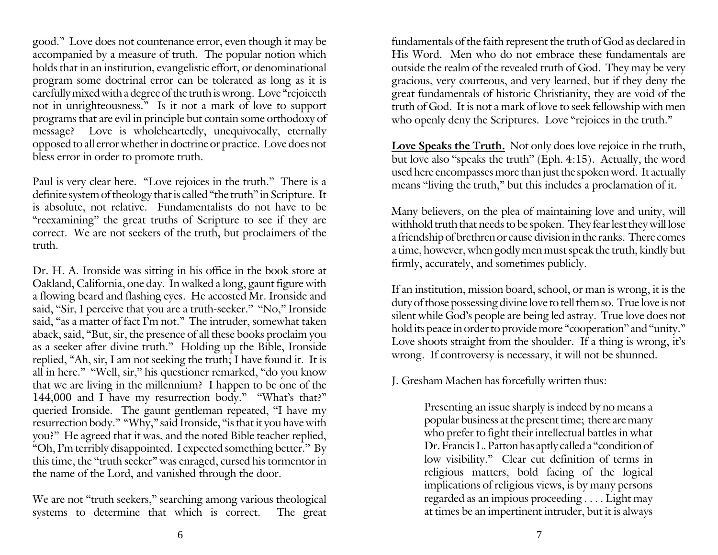good." Love does not countenance error, even though it may be accompanied by a measure of truth. The popular notion which holds that in an institution, evangelistic effort, or denominational program some doctrinal error can be tolerated as long as it is carefully mixed with a degree of the truth is wrong. Love "rejoiceth not in unrighteousness." Is it not a mark of love to support programs that are evil in principle but contain some orthodoxy of message? Love is wholeheartedly, unequivocally, eternally opposed to all error whether in doctrine or practice. Love does not bless error in order to promote truth.

Paul is very clear here. "Love rejoices in the truth." There is a definite system of theology that is called "the truth" in Scripture. It is absolute, not relative. Fundamentalists do not have to be "reexamining" the great truths of Scripture to see if they are correct. We are not seekers of the truth, but proclaimers of the truth.

Dr. H. A. Ironside was sitting in his office in the book store at Oakland, California, one day. In walked a long, gaunt figure with a flowing beard and flashing eyes. He accosted Mr. Ironside and said, "Sir, I perceive that you are a truth-seeker." "No," Ironside said, "as a matter of fact I'm not." The intruder, somewhat taken aback, said, "But, sir, the presence of all these books proclaim you as a seeker after divine truth." Holding up the Bible, Ironside replied, "Ah, sir, I am not seeking the truth; I have found it. It is all in here." "Well, sir," his questioner remarked, "do you know that we are living in the millennium? I happen to be one of the 144,000 and I have my resurrection body." "What's that?" queried Ironside. The gaunt gentleman repeated, "I have my resurrection body." "Why," said Ironside, "is that it you have with you?" He agreed that it was, and the noted Bible teacher replied, "Oh, I'm terribly disappointed. I expected something better." By this time, the "truth seeker" was enraged, cursed his tormentor in the name of the Lord, and vanished through the door.

We are not "truth seekers," searching among various theological systems to determine that which is correct. The great fundamentals of the faith represent the truth of God as declared in His Word. Men who do not embrace these fundamentals are outside the realm of the revealed truth of God. They may be very gracious, very courteous, and very learned, but if they deny the great fundamentals of historic Christianity, they are void of the truth of God. It is not a mark of love to seek fellowship with men who openly deny the Scriptures. Love "rejoices in the truth."

Love Speaks the Truth. Not only does love rejoice in the truth, but love also "speaks the truth" (Eph. 4:15). Actually, the word used here encompasses more than just the spoken word. It actually means "living the truth," but this includes a proclamation of it.

Many believers, on the plea of maintaining love and unity, will withhold truth that needs to be spoken. They fear lest they will lose a friendship of brethren or cause division in the ranks. There comes a time, however, when godly men must speak the truth, kindly but firmly, accurately, and sometimes publicly.

If an institution, mission board, school, or man is wrong, it is the duty of those possessing divine love to tell them so. True love is not silent while God's people are being led astray. True love does not hold its peace in order to provide more "cooperation" and "unity." Love shoots straight from the shoulder. If a thing is wrong, it's wrong. If controversy is necessary, it will not be shunned.

J. Gresham Machen has forcefully written thus:

Presenting an issue sharply is indeed by no means a popular business at the present time; there are many who prefer to fight their intellectual battles in what Dr. Francis L. Patton has aptly called a "condition of low visibility." Clear cut definition of terms in religious matters, bold facing of the logical implications of religious views, is by many persons regarded as an impious proceeding . . . . Light may at times be an impertinent intruder, but it is always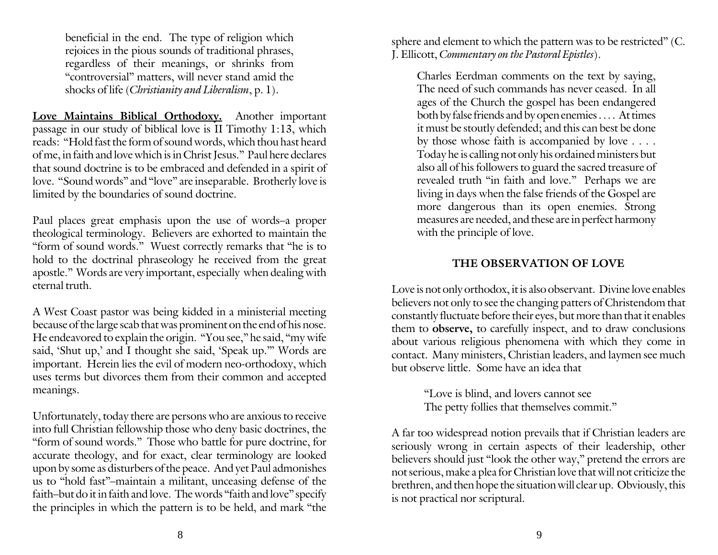beneficial in the end. The type of religion which rejoices in the pious sounds of traditional phrases, regardless of their meanings, or shrinks from "controversial" matters, will never stand amid the shocks of life (*Christianity and Liberalism*, p. 1).

**Love Maintains Biblical Orthodoxy.** Another important passage in our study of biblical love is II Timothy 1:13, which reads: "Hold fast the form of sound words, which thou hast heard of me, in faith and love which is in Christ Jesus." Paul here declares that sound doctrine is to be embraced and defended in a spirit of love. "Sound words" and "love" are inseparable. Brotherly love is limited by the boundaries of sound doctrine.

Paul places great emphasis upon the use of words–a proper theological terminology. Believers are exhorted to maintain the "form of sound words." Wuest correctly remarks that "he is to hold to the doctrinal phraseology he received from the great apostle." Words are very important, especially when dealing with eternal truth.

A West Coast pastor was being kidded in a ministerial meeting because of the large scab that was prominent on the end of his nose. He endeavored to explain the origin. "You see," he said, "my wife said, 'Shut up,' and I thought she said, 'Speak up.'" Words are important. Herein lies the evil of modern neo-orthodoxy, which uses terms but divorces them from their common and accepted meanings.

Unfortunately, today there are persons who are anxious to receive into full Christian fellowship those who deny basic doctrines, the "form of sound words." Those who battle for pure doctrine, for accurate theology, and for exact, clear terminology are looked upon by some as disturbers of the peace. And yet Paul admonishes us to "hold fast"–maintain a militant, unceasing defense of the faith–but do it in faith and love. The words "faith and love" specify the principles in which the pattern is to be held, and mark "the sphere and element to which the pattern was to be restricted" (C. J. Ellicott, *Commentary on the Pastoral Epistles*).

Charles Eerdman comments on the text by saying, The need of such commands has never ceased. In all ages of the Church the gospel has been endangered both by false friends and by open enemies . . . . At times it must be stoutly defended; and this can best be done by those whose faith is accompanied by love . . . . Today he is calling not only his ordained ministers but also all of his followers to guard the sacred treasure of revealed truth "in faith and love." Perhaps we are living in days when the false friends of the Gospel are more dangerous than its open enemies. Strong measures are needed, and these are in perfect harmony with the principle of love.

#### **THE OBSERVATION OF LOVE**

Love is not only orthodox, it is also observant. Divine love enables believers not only to see the changing patters of Christendom that constantly fluctuate before their eyes, but more than that it enables them to **observe,** to carefully inspect, and to draw conclusions about various religious phenomena with which they come in contact. Many ministers, Christian leaders, and laymen see much but observe little. Some have an idea that

> "Love is blind, and lovers cannot see The petty follies that themselves commit."

A far too widespread notion prevails that if Christian leaders are seriously wrong in certain aspects of their leadership, other believers should just "look the other way," pretend the errors are not serious, make a plea for Christian love that will not criticize the brethren, and then hope the situation will clear up. Obviously, this is not practical nor scriptural.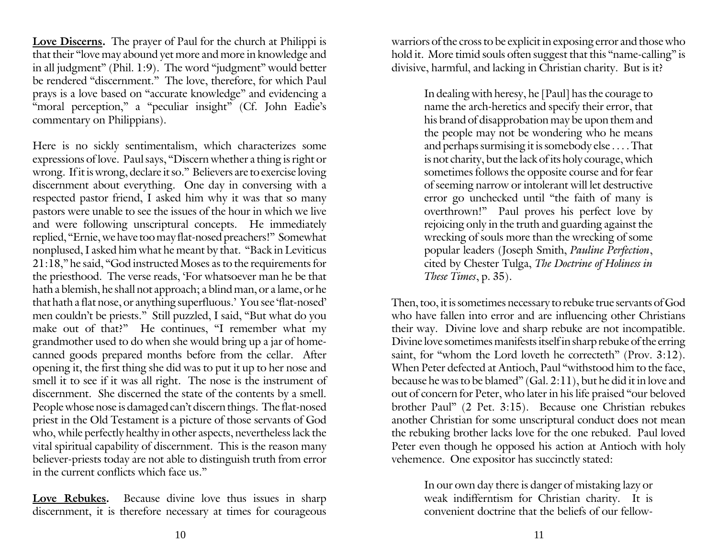**Love Discerns.** The prayer of Paul for the church at Philippi is that their "love may abound yet more and more in knowledge and in all judgment" (Phil. 1:9). The word "judgment" would better be rendered "discernment." The love, therefore, for which Paul prays is a love based on "accurate knowledge" and evidencing a "moral perception," a "peculiar insight" (Cf. John Eadie's commentary on Philippians).

Here is no sickly sentimentalism, which characterizes some expressions of love. Paul says, "Discern whether a thing is right or wrong. If it is wrong, declare it so." Believers are to exercise loving discernment about everything. One day in conversing with a respected pastor friend, I asked him why it was that so many pastors were unable to see the issues of the hour in which we live and were following unscriptural concepts. He immediately replied, "Ernie, we have too may flat-nosed preachers!" Somewhat nonplused, I asked him what he meant by that. "Back in Leviticus 21:18," he said, "God instructed Moses as to the requirements for the priesthood. The verse reads, 'For whatsoever man he be that hath a blemish, he shall not approach; a blind man, or a lame, or he that hath a flat nose, or anything superfluous.' You see 'flat-nosed' men couldn't be priests." Still puzzled, I said, "But what do you make out of that?" He continues, "I remember what my grandmother used to do when she would bring up a jar of homecanned goods prepared months before from the cellar. After opening it, the first thing she did was to put it up to her nose and smell it to see if it was all right. The nose is the instrument of discernment. She discerned the state of the contents by a smell. People whose nose is damaged can't discern things. The flat-nosed priest in the Old Testament is a picture of those servants of God who, while perfectly healthy in other aspects, nevertheless lack the vital spiritual capability of discernment. This is the reason many believer-priests today are not able to distinguish truth from error in the current conflicts which face us."

**Love Rebukes.** Because divine love thus issues in sharp discernment, it is therefore necessary at times for courageous

warriors of the cross to be explicit in exposing error and those who hold it. More timid souls often suggest that this "name-calling" is divisive, harmful, and lacking in Christian charity. But is it?

> In dealing with heresy, he [Paul] has the courage to name the arch-heretics and specify their error, that his brand of disapprobation may be upon them and the people may not be wondering who he means and perhaps surmising it is somebody else . . . . That is not charity, but the lack of its holy courage, which sometimes follows the opposite course and for fear of seeming narrow or intolerant will let destructive error go unchecked until "the faith of many is overthrown!" Paul proves his perfect love by rejoicing only in the truth and guarding against the wrecking of souls more than the wrecking of some popular leaders (Joseph Smith, *Pauline Perfection*, cited by Chester Tulga, *The Doctrine of Holiness in These Times*, p. 35).

Then, too, it is sometimes necessary to rebuke true servants of God who have fallen into error and are influencing other Christians their way. Divine love and sharp rebuke are not incompatible. Divine love sometimes manifests itself in sharp rebuke of the erring saint, for "whom the Lord loveth he correcteth" (Prov. 3:12). When Peter defected at Antioch, Paul "withstood him to the face, because he was to be blamed" (Gal. 2:11), but he did it in love and out of concern for Peter, who later in his life praised "our beloved brother Paul" (2 Pet. 3:15). Because one Christian rebukes another Christian for some unscriptural conduct does not mean the rebuking brother lacks love for the one rebuked. Paul loved Peter even though he opposed his action at Antioch with holy vehemence. One expositor has succinctly stated:

> In our own day there is danger of mistaking lazy or weak indifferntism for Christian charity. It is convenient doctrine that the beliefs of our fellow